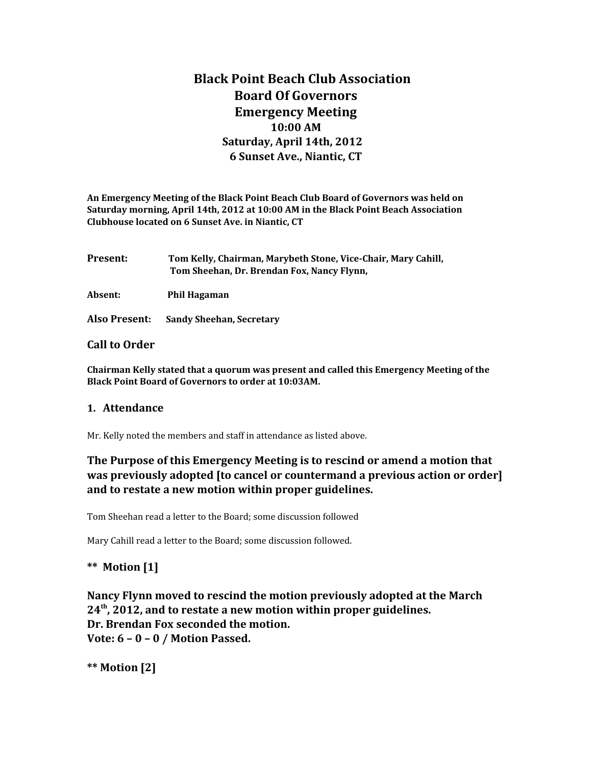# **Black Point Beach Club Association Board Of Governors Emergency Meeting 10:00 AM Saturday, April 14th, 2012 6 Sunset Ave., Niantic, CT**

**An Emergency Meeting of the Black Point Beach Club Board of Governors was held on Saturday morning, April 14th, 2012 at 10:00 AM in the Black Point Beach Association Clubhouse located on 6 Sunset Ave. in Niantic, CT**

**Present: Tom Kelly, Chairman, Marybeth Stone, Vice-Chair, Mary Cahill, Tom Sheehan, Dr. Brendan Fox, Nancy Flynn,** 

**Absent: Phil Hagaman** 

**Also Present: Sandy Sheehan, Secretary**

#### **Call to Order**

**Chairman Kelly stated that a quorum was present and called this Emergency Meeting of the Black Point Board of Governors to order at 10:03AM.** 

#### **1. Attendance**

Mr. Kelly noted the members and staff in attendance as listed above.

## **The Purpose of this Emergency Meeting is to rescind or amend a motion that was previously adopted [to cancel or countermand a previous action or order] and to restate a new motion within proper guidelines.**

Tom Sheehan read a letter to the Board; some discussion followed

Mary Cahill read a letter to the Board; some discussion followed.

### **\*\* Motion [1]**

**Nancy Flynn moved to rescind the motion previously adopted at the March 24th, 2012, and to restate a new motion within proper guidelines. Dr. Brendan Fox seconded the motion. Vote: 6 – 0 – 0 / Motion Passed.**

**\*\* Motion [2]**